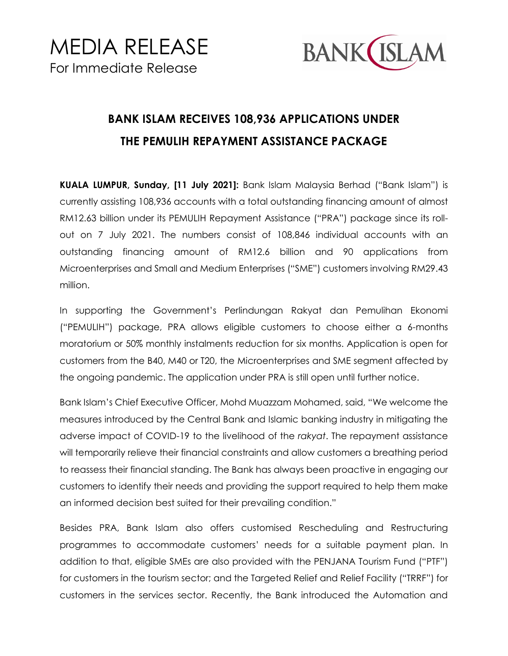

## **BANK ISLAM RECEIVES 108,936 APPLICATIONS UNDER THE PEMULIH REPAYMENT ASSISTANCE PACKAGE**

**KUALA LUMPUR, Sunday, [11 July 2021]:** Bank Islam Malaysia Berhad ("Bank Islam") is currently assisting 108,936 accounts with a total outstanding financing amount of almost RM12.63 billion under its PEMULIH Repayment Assistance ("PRA") package since its rollout on 7 July 2021. The numbers consist of 108,846 individual accounts with an outstanding financing amount of RM12.6 billion and 90 applications from Microenterprises and Small and Medium Enterprises ("SME") customers involving RM29.43 million.

In supporting the Government's Perlindungan Rakyat dan Pemulihan Ekonomi ("PEMULIH") package, PRA allows eligible customers to choose either a 6-months moratorium or 50% monthly instalments reduction for six months. Application is open for customers from the B40, M40 or T20, the Microenterprises and SME segment affected by the ongoing pandemic. The application under PRA is still open until further notice.

Bank Islam's Chief Executive Officer, Mohd Muazzam Mohamed, said, "We welcome the measures introduced by the Central Bank and Islamic banking industry in mitigating the adverse impact of COVID-19 to the livelihood of the *rakyat*. The repayment assistance will temporarily relieve their financial constraints and allow customers a breathing period to reassess their financial standing. The Bank has always been proactive in engaging our customers to identify their needs and providing the support required to help them make an informed decision best suited for their prevailing condition."

Besides PRA, Bank Islam also offers customised Rescheduling and Restructuring programmes to accommodate customers' needs for a suitable payment plan. In addition to that, eligible SMEs are also provided with the PENJANA Tourism Fund ("PTF") for customers in the tourism sector; and the Targeted Relief and Relief Facility ("TRRF") for customers in the services sector. Recently, the Bank introduced the Automation and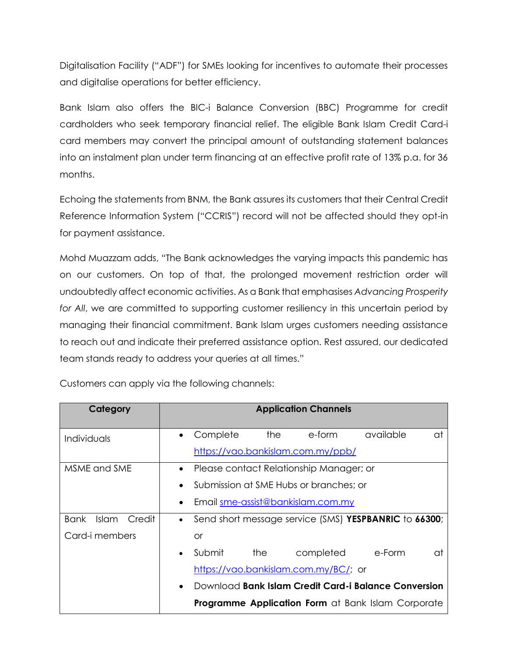Digitalisation Facility ("ADF") for SMEs looking for incentives to automate their processes and digitalise operations for better efficiency.

Bank Islam also offers the BIC-i Balance Conversion (BBC) Programme for credit cardholders who seek temporary financial relief. The eligible Bank Islam Credit Card-i card members may convert the principal amount of outstanding statement balances into an instalment plan under term financing at an effective profit rate of 13% p.a. for 36 months.

Echoing the statements from BNM, the Bank assures its customers that their Central Credit Reference Information System ("CCRIS") record will not be affected should they opt-in for payment assistance.

Mohd Muazzam adds, "The Bank acknowledges the varying impacts this pandemic has on our customers. On top of that, the prolonged movement restriction order will undoubtedly affect economic activities. As a Bank that emphasises *Advancing Prosperity for All*, we are committed to supporting customer resiliency in this uncertain period by managing their financial commitment. Bank Islam urges customers needing assistance to reach out and indicate their preferred assistance option. Rest assured, our dedicated team stands ready to address your queries at all times."

| Category                | <b>Application Channels</b>                                        |  |  |
|-------------------------|--------------------------------------------------------------------|--|--|
| Individuals             | the<br>available<br>Complete<br>e-form<br>at<br>$\bullet$          |  |  |
|                         | https://vao.bankislam.com.my/ppb/                                  |  |  |
| MSME and SME            | Please contact Relationship Manager; or<br>$\bullet$               |  |  |
|                         | Submission at SME Hubs or branches; or<br>$\bullet$                |  |  |
|                         | Email sme-assist@bankislam.com.my<br>$\bullet$                     |  |  |
| Islam<br>Credit<br>Bank | Send short message service (SMS) YESPBANRIC to 66300;<br>$\bullet$ |  |  |
| Card-i members          | or                                                                 |  |  |
|                         | Submit<br>e-Form<br>the<br>completed<br>αt<br>$\bullet$            |  |  |
|                         | https://vao.bankislam.com.my/BC/; or                               |  |  |
|                         | Download Bank Islam Credit Card-i Balance Conversion<br>$\bullet$  |  |  |
|                         | <b>Programme Application Form at Bank Islam Corporate</b>          |  |  |

Customers can apply via the following channels: